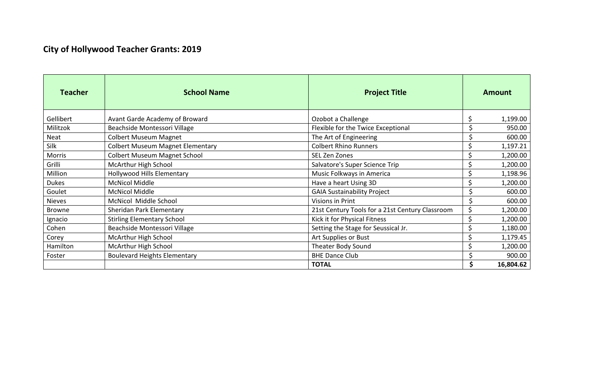## **City of Hollywood Teacher Grants: 2019**

| <b>Teacher</b> | <b>School Name</b>                      | <b>Project Title</b>                            |   | <b>Amount</b> |
|----------------|-----------------------------------------|-------------------------------------------------|---|---------------|
| Gellibert      | Avant Garde Academy of Broward          | Ozobot a Challenge                              |   | 1,199.00      |
| Militzok       | Beachside Montessori Village            | Flexible for the Twice Exceptional              |   | 950.00        |
| Neat           | <b>Colbert Museum Magnet</b>            | The Art of Engineering                          |   | 600.00        |
| Silk           | <b>Colbert Museum Magnet Elementary</b> | <b>Colbert Rhino Runners</b>                    |   | 1,197.21      |
| <b>Morris</b>  | <b>Colbert Museum Magnet School</b>     | SEL Zen Zones                                   |   | 1,200.00      |
| Grilli         | McArthur High School                    | Salvatore's Super Science Trip                  |   | 1,200.00      |
| Million        | Hollywood Hills Elementary              | Music Folkways in America                       |   | 1,198.96      |
| <b>Dukes</b>   | <b>McNicol Middle</b>                   | Have a heart Using 3D                           |   | 1,200.00      |
| Goulet         | <b>McNicol Middle</b>                   | <b>GAIA Sustainability Project</b>              |   | 600.00        |
| <b>Nieves</b>  | McNicol Middle School                   | Visions in Print                                |   | 600.00        |
| <b>Browne</b>  | Sheridan Park Elementary                | 21st Century Tools for a 21st Century Classroom | Ś | 1,200.00      |
| Ignacio        | <b>Stirling Elementary School</b>       | Kick it for Physical Fitness                    |   | 1,200.00      |
| Cohen          | Beachside Montessori Village            | Setting the Stage for Seussical Jr.             |   | 1,180.00      |
| Corey          | McArthur High School                    | Art Supplies or Bust                            |   | 1,179.45      |
| Hamilton       | McArthur High School                    | Theater Body Sound                              |   | 1,200.00      |
| Foster         | <b>Boulevard Heights Elementary</b>     | <b>BHE Dance Club</b>                           |   | 900.00        |
|                |                                         | <b>TOTAL</b>                                    |   | 16,804.62     |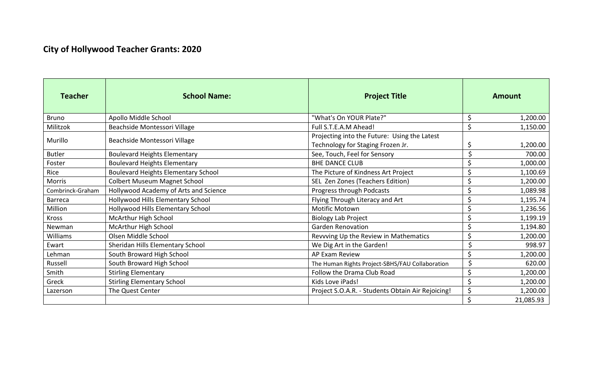## **City of Hollywood Teacher Grants: 2020**

| <b>Teacher</b>   | <b>School Name:</b>                        | <b>Project Title</b>                                                              | <b>Amount</b>           |  |
|------------------|--------------------------------------------|-----------------------------------------------------------------------------------|-------------------------|--|
| <b>Bruno</b>     | Apollo Middle School                       | "What's On YOUR Plate?"                                                           | \$<br>1,200.00          |  |
| Militzok         | Beachside Montessori Village               | Full S.T.E.A.M Ahead!                                                             | \$<br>1,150.00          |  |
| Murillo          | Beachside Montessori Village               | Projecting into the Future: Using the Latest<br>Technology for Staging Frozen Jr. | \$<br>1,200.00          |  |
| <b>Butler</b>    | <b>Boulevard Heights Elementary</b>        | See, Touch, Feel for Sensory                                                      | \$<br>700.00            |  |
| Foster           | <b>Boulevard Heights Elementary</b>        | <b>BHE DANCE CLUB</b>                                                             | \$<br>1,000.00          |  |
| Rice             | <b>Boulevard Heights Elementary School</b> | The Picture of Kindness Art Project                                               | \$<br>1,100.69          |  |
| <b>Morris</b>    | <b>Colbert Museum Magnet School</b>        | SEL Zen Zones (Teachers Edition)                                                  | \$<br>1,200.00          |  |
| Combrinck-Graham | Hollywood Academy of Arts and Science      | Progress through Podcasts                                                         | \$<br>1,089.98          |  |
| <b>Barreca</b>   | Hollywood Hills Elementary School          | Flying Through Literacy and Art                                                   | \$<br>1,195.74          |  |
| Million          | Hollywood Hills Elementary School          | <b>Motific Motown</b>                                                             | \$<br>1,236.56          |  |
| <b>Kross</b>     | McArthur High School                       | <b>Biology Lab Project</b>                                                        | \$<br>1,199.19          |  |
| Newman           | McArthur High School                       | <b>Garden Renovation</b>                                                          | \$<br>1,194.80          |  |
| <b>Williams</b>  | Olsen Middle School                        | Revvving Up the Review in Mathematics                                             | \$<br>1,200.00          |  |
| Ewart            | Sheridan Hills Elementary School           | We Dig Art in the Garden!                                                         | Ś<br>998.97             |  |
| Lehman           | South Broward High School                  | AP Exam Review                                                                    | \$<br>1,200.00          |  |
| Russell          | South Broward High School                  | The Human Rights Project-SBHS/FAU Collaboration                                   | 620.00<br>\$            |  |
| Smith            | <b>Stirling Elementary</b>                 | Follow the Drama Club Road                                                        | \$<br>1,200.00          |  |
| Greck            | <b>Stirling Elementary School</b>          | Kids Love iPads!                                                                  | $\varsigma$<br>1,200.00 |  |
| Lazerson         | The Quest Center                           | Project S.O.A.R. - Students Obtain Air Rejoicing!                                 | $\varsigma$<br>1,200.00 |  |
|                  |                                            |                                                                                   | \$<br>21,085.93         |  |